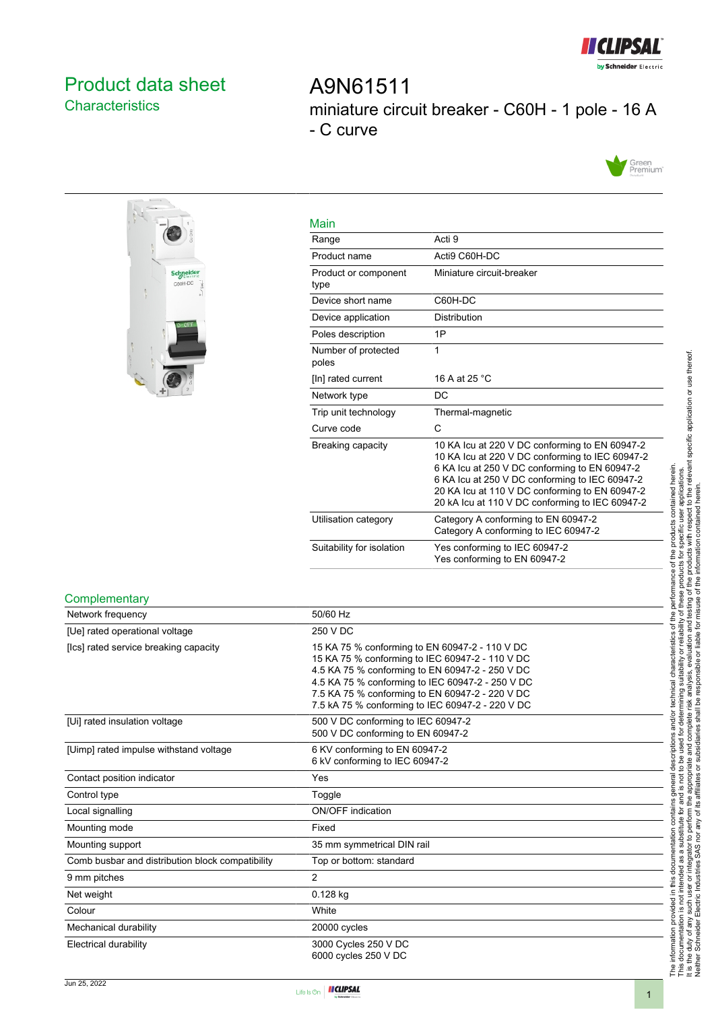

## <span id="page-0-0"></span>Product data sheet **Characteristics**

A9N61511 miniature circuit breaker - C60H - 1 pole - 16 A - C curve





| Main                         |                                                                                                                                                                                                                                                                                                           |
|------------------------------|-----------------------------------------------------------------------------------------------------------------------------------------------------------------------------------------------------------------------------------------------------------------------------------------------------------|
| Range                        | Acti 9                                                                                                                                                                                                                                                                                                    |
| Product name                 | Acti9 C60H-DC                                                                                                                                                                                                                                                                                             |
| Product or component<br>type | Miniature circuit-breaker                                                                                                                                                                                                                                                                                 |
| Device short name            | C60H-DC                                                                                                                                                                                                                                                                                                   |
| Device application           | <b>Distribution</b>                                                                                                                                                                                                                                                                                       |
| Poles description            | 1P                                                                                                                                                                                                                                                                                                        |
| Number of protected<br>poles | 1                                                                                                                                                                                                                                                                                                         |
| [In] rated current           | 16 A at 25 °C                                                                                                                                                                                                                                                                                             |
| Network type                 | DC.                                                                                                                                                                                                                                                                                                       |
| Trip unit technology         | Thermal-magnetic                                                                                                                                                                                                                                                                                          |
| Curve code                   | C                                                                                                                                                                                                                                                                                                         |
| Breaking capacity            | 10 KA Icu at 220 V DC conforming to EN 60947-2<br>10 KA Icu at 220 V DC conforming to IEC 60947-2<br>6 KA Icu at 250 V DC conforming to EN 60947-2<br>6 KA Icu at 250 V DC conforming to IEC 60947-2<br>20 KA Icu at 110 V DC conforming to EN 60947-2<br>20 kA Icu at 110 V DC conforming to IEC 60947-2 |
| Utilisation category         | Category A conforming to EN 60947-2<br>Category A conforming to IEC 60947-2                                                                                                                                                                                                                               |
| Suitability for isolation    | Yes conforming to IEC 60947-2<br>Yes conforming to EN 60947-2                                                                                                                                                                                                                                             |

#### **Complementary**

| Network frequency                                | 50/60 Hz                                                                                                                                                                                                                                                                                                        |
|--------------------------------------------------|-----------------------------------------------------------------------------------------------------------------------------------------------------------------------------------------------------------------------------------------------------------------------------------------------------------------|
| [Ue] rated operational voltage                   | 250 V DC                                                                                                                                                                                                                                                                                                        |
| [Ics] rated service breaking capacity            | 15 KA 75 % conforming to EN 60947-2 - 110 V DC<br>15 KA 75 % conforming to IEC 60947-2 - 110 V DC<br>4.5 KA 75 % conforming to EN 60947-2 - 250 V DC<br>4.5 KA 75 % conforming to IEC 60947-2 - 250 V DC<br>7.5 KA 75 % conforming to EN 60947-2 - 220 V DC<br>7.5 kA 75 % conforming to IEC 60947-2 - 220 V DC |
| [Ui] rated insulation voltage                    | 500 V DC conforming to IEC 60947-2<br>500 V DC conforming to EN 60947-2                                                                                                                                                                                                                                         |
| [Uimp] rated impulse withstand voltage           | 6 KV conforming to EN 60947-2<br>6 kV conforming to IEC 60947-2                                                                                                                                                                                                                                                 |
| Contact position indicator                       | Yes                                                                                                                                                                                                                                                                                                             |
| Control type                                     | Toggle                                                                                                                                                                                                                                                                                                          |
| Local signalling                                 | <b>ON/OFF</b> indication                                                                                                                                                                                                                                                                                        |
| Mounting mode                                    | Fixed                                                                                                                                                                                                                                                                                                           |
| Mounting support                                 | 35 mm symmetrical DIN rail                                                                                                                                                                                                                                                                                      |
| Comb busbar and distribution block compatibility | Top or bottom: standard                                                                                                                                                                                                                                                                                         |
| 9 mm pitches                                     | $\overline{c}$                                                                                                                                                                                                                                                                                                  |
| Net weight                                       | $0.128$ kg                                                                                                                                                                                                                                                                                                      |
| Colour                                           | White                                                                                                                                                                                                                                                                                                           |
| Mechanical durability                            | 20000 cycles                                                                                                                                                                                                                                                                                                    |
| Electrical durability                            | 3000 Cycles 250 V DC<br>6000 cycles 250 V DC                                                                                                                                                                                                                                                                    |